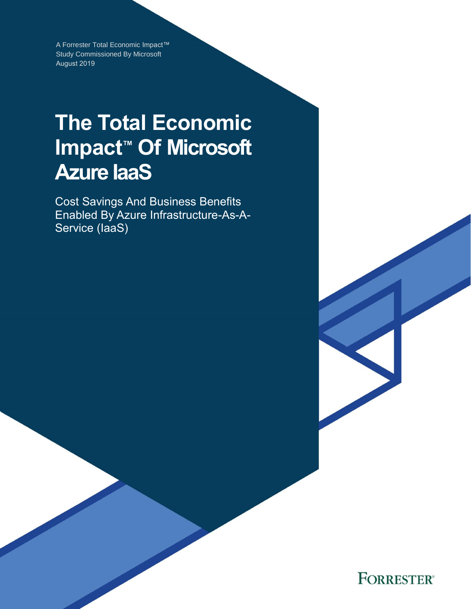A Forrester Total Economic Impact™ Study Commissioned By Microsoft August 2019

# **The Total Economic Impact™ Of Microsoft Azure IaaS**

Cost Savings And Business Benefits Enabled By Azure Infrastructure-As-A-Service (IaaS)

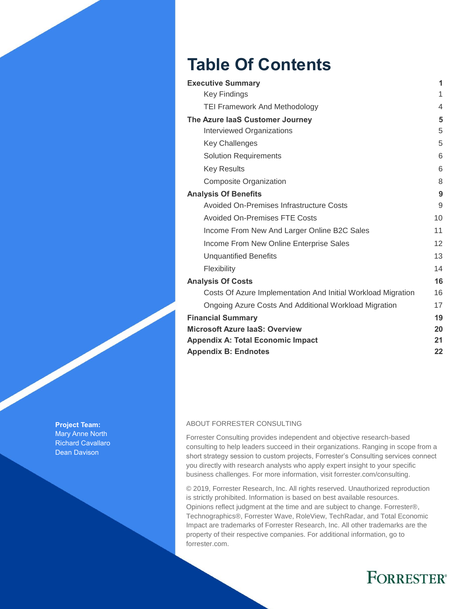# **Table Of Contents**

| <b>Executive Summary</b>                                     | 1              |
|--------------------------------------------------------------|----------------|
| <b>Key Findings</b>                                          | 1              |
| <b>TEI Framework And Methodology</b>                         | $\overline{4}$ |
| The Azure laaS Customer Journey                              | 5              |
| Interviewed Organizations                                    | 5              |
| <b>Key Challenges</b>                                        | 5              |
| <b>Solution Requirements</b>                                 | 6              |
| <b>Key Results</b>                                           | 6              |
| Composite Organization                                       | 8              |
| <b>Analysis Of Benefits</b>                                  | 9              |
| Avoided On-Premises Infrastructure Costs                     | 9              |
| <b>Avoided On-Premises FTE Costs</b>                         | 10             |
| Income From New And Larger Online B2C Sales                  | 11             |
| Income From New Online Enterprise Sales                      | 12             |
| <b>Unquantified Benefits</b>                                 | 13             |
| Flexibility                                                  | 14             |
| <b>Analysis Of Costs</b>                                     | 16             |
| Costs Of Azure Implementation And Initial Workload Migration | 16             |
| Ongoing Azure Costs And Additional Workload Migration        | 17             |
| <b>Financial Summary</b>                                     | 19             |
| <b>Microsoft Azure laaS: Overview</b>                        | 20             |
| <b>Appendix A: Total Economic Impact</b>                     | 21             |
| <b>Appendix B: Endnotes</b>                                  | 22             |

#### ABOUT FORRESTER CONSULTING

Forrester Consulting provides independent and objective research-based consulting to help leaders succeed in their organizations. Ranging in scope from a short strategy session to custom projects, Forrester's Consulting services connect you directly with research analysts who apply expert insight to your specific business challenges. For more information, visit forrester.com/consulting.

© 2019, Forrester Research, Inc. All rights reserved. Unauthorized reproduction is strictly prohibited. Information is based on best available resources. Opinions reflect judgment at the time and are subject to change. Forrester®, Technographics®, Forrester Wave, RoleView, TechRadar, and Total Economic Impact are trademarks of Forrester Research, Inc. All other trademarks are the property of their respective companies. For additional information, go to forrester.com.

# **FORRESTER®**

**Project Team:** Mary Anne North Richard Cavallaro Dean Davison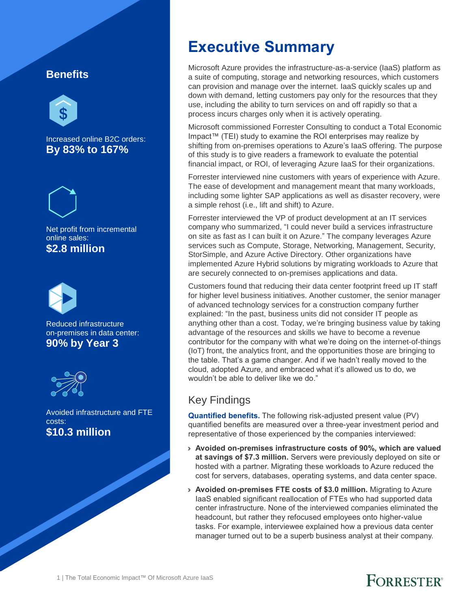#### **Benefits**



Increased online B2C orders: **By 83% to 167%**



Net profit from incremental online sales: **\$2.8 million** 



Reduced infrastructure on-premises in data center: **90% by Year 3**



Avoided infrastructure and FTE costs: **\$10.3 million**

# **Executive Summary**

Microsoft Azure provides the infrastructure-as-a-service (IaaS) platform as a suite of computing, storage and networking resources, which customers can provision and manage over the internet. IaaS quickly scales up and down with demand, letting customers pay only for the resources that they use, including the ability to turn services on and off rapidly so that a process incurs charges only when it is actively operating.

Microsoft commissioned Forrester Consulting to conduct a Total Economic Impact™ (TEI) study to examine the ROI enterprises may realize by shifting from on-premises operations to Azure's IaaS offering. The purpose of this study is to give readers a framework to evaluate the potential financial impact, or ROI, of leveraging Azure IaaS for their organizations.

Forrester interviewed nine customers with years of experience with Azure. The ease of development and management meant that many workloads, including some lighter SAP applications as well as disaster recovery, were a simple rehost (i.e., lift and shift) to Azure.

Forrester interviewed the VP of product development at an IT services company who summarized, "I could never build a services infrastructure on site as fast as I can built it on Azure." The company leverages Azure services such as Compute, Storage, Networking, Management, Security, StorSimple, and Azure Active Directory. Other organizations have implemented Azure Hybrid solutions by migrating workloads to Azure that are securely connected to on-premises applications and data.

Customers found that reducing their data center footprint freed up IT staff for higher level business initiatives. Another customer, the senior manager of advanced technology services for a construction company further explained: "In the past, business units did not consider IT people as anything other than a cost. Today, we're bringing business value by taking advantage of the resources and skills we have to become a revenue contributor for the company with what we're doing on the internet-of-things (IoT) front, the analytics front, and the opportunities those are bringing to the table. That's a game changer. And if we hadn't really moved to the cloud, adopted Azure, and embraced what it's allowed us to do, we wouldn't be able to deliver like we do."

## Key Findings

**Quantified benefits.** The following risk-adjusted present value (PV) quantified benefits are measured over a three-year investment period and representative of those experienced by the companies interviewed:

- › **Avoided on-premises infrastructure costs of 90%, which are valued at savings of \$7.3 million.** Servers were previously deployed on site or hosted with a partner. Migrating these workloads to Azure reduced the cost for servers, databases, operating systems, and data center space.
- › **Avoided on-premises FTE costs of \$3.0 million.** Migrating to Azure IaaS enabled significant reallocation of FTEs who had supported data center infrastructure. None of the interviewed companies eliminated the headcount, but rather they refocused employees onto higher-value tasks. For example, interviewee explained how a previous data center manager turned out to be a superb business analyst at their company.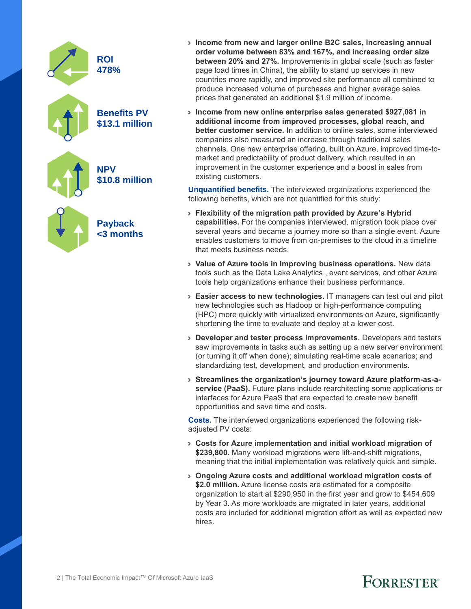

- › **Income from new and larger online B2C sales, increasing annual order volume between 83% and 167%, and increasing order size between 20% and 27%.** Improvements in global scale (such as faster page load times in China), the ability to stand up services in new countries more rapidly, and improved site performance all combined to produce increased volume of purchases and higher average sales prices that generated an additional \$1.9 million of income.
- › **Income from new online enterprise sales generated \$927,081 in additional income from improved processes, global reach, and better customer service.** In addition to online sales, some interviewed companies also measured an increase through traditional sales channels. One new enterprise offering, built on Azure, improved time-tomarket and predictability of product delivery, which resulted in an improvement in the customer experience and a boost in sales from existing customers.

**Unquantified benefits.** The interviewed organizations experienced the following benefits, which are not quantified for this study:

- › **Flexibility of the migration path provided by Azure's Hybrid capabilities.** For the companies interviewed, migration took place over several years and became a journey more so than a single event. Azure enables customers to move from on-premises to the cloud in a timeline that meets business needs.
- › **Value of Azure tools in improving business operations.** New data tools such as the Data Lake Analytics , event services, and other Azure tools help organizations enhance their business performance.
- › **Easier access to new technologies.** IT managers can test out and pilot new technologies such as Hadoop or high-performance computing (HPC) more quickly with virtualized environments on Azure, significantly shortening the time to evaluate and deploy at a lower cost.
- › **Developer and tester process improvements.** Developers and testers saw improvements in tasks such as setting up a new server environment (or turning it off when done); simulating real-time scale scenarios; and standardizing test, development, and production environments.
- › **Streamlines the organization's journey toward Azure platform-as-aservice (PaaS).** Future plans include rearchitecting some applications or interfaces for Azure PaaS that are expected to create new benefit opportunities and save time and costs.

**Costs.** The interviewed organizations experienced the following riskadjusted PV costs:

- › **Costs for Azure implementation and initial workload migration of \$239,800.** Many workload migrations were lift-and-shift migrations, meaning that the initial implementation was relatively quick and simple.
- › **Ongoing Azure costs and additional workload migration costs of \$2.0 million.** Azure license costs are estimated for a composite organization to start at \$290,950 in the first year and grow to \$454,609 by Year 3. As more workloads are migrated in later years, additional costs are included for additional migration effort as well as expected new hires.

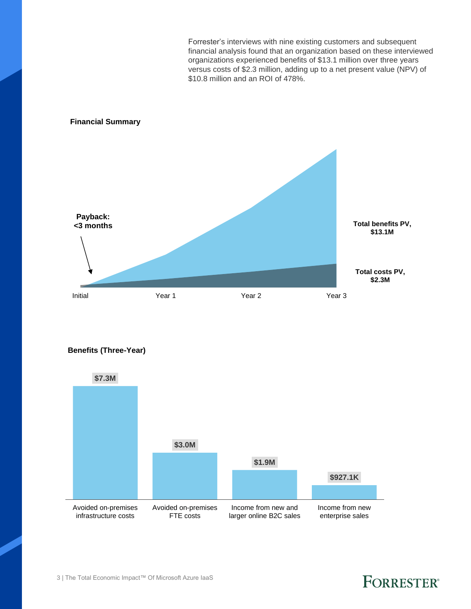Forrester's interviews with nine existing customers and subsequent financial analysis found that an organization based on these interviewed organizations experienced benefits of \$13.1 million over three years versus costs of \$2.3 million, adding up to a net present value (NPV) of \$10.8 million and an ROI of 478%.

#### **Financial Summary**



**Benefits (Three-Year)**

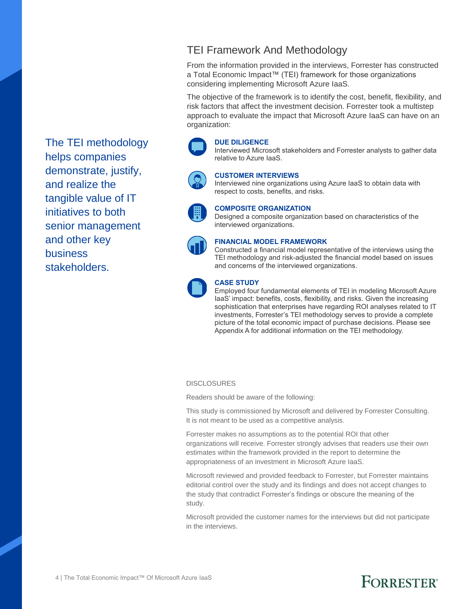TEI Framework And Methodology

From the information provided in the interviews, Forrester has constructed a Total Economic Impact™ (TEI) framework for those organizations considering implementing Microsoft Azure IaaS.

The objective of the framework is to identify the cost, benefit, flexibility, and risk factors that affect the investment decision. Forrester took a multistep approach to evaluate the impact that Microsoft Azure IaaS can have on an organization:

#### **DUE DILIGENCE**

Interviewed Microsoft stakeholders and Forrester analysts to gather data relative to Azure IaaS.



#### **CUSTOMER INTERVIEWS**

Interviewed nine organizations using Azure IaaS to obtain data with respect to costs, benefits, and risks.



#### **COMPOSITE ORGANIZATION**

Designed a composite organization based on characteristics of the interviewed organizations.



#### **FINANCIAL MODEL FRAMEWORK**

Constructed a financial model representative of the interviews using the TEI methodology and risk-adjusted the financial model based on issues and concerns of the interviewed organizations.



#### **CASE STUDY**

Employed four fundamental elements of TEI in modeling Microsoft Azure IaaS' impact: benefits, costs, flexibility, and risks. Given the increasing sophistication that enterprises have regarding ROI analyses related to IT investments, Forrester's TEI methodology serves to provide a complete picture of the total economic impact of purchase decisions. Please see Appendix A for additional information on the TEI methodology.

#### **DISCLOSURES**

Readers should be aware of the following:

This study is commissioned by Microsoft and delivered by Forrester Consulting. It is not meant to be used as a competitive analysis.

Forrester makes no assumptions as to the potential ROI that other organizations will receive. Forrester strongly advises that readers use their own estimates within the framework provided in the report to determine the appropriateness of an investment in Microsoft Azure IaaS.

Microsoft reviewed and provided feedback to Forrester, but Forrester maintains editorial control over the study and its findings and does not accept changes to the study that contradict Forrester's findings or obscure the meaning of the study.

Microsoft provided the customer names for the interviews but did not participate in the interviews.

The TEI methodology helps companies demonstrate, justify, and realize the tangible value of IT initiatives to both senior management and other key business stakeholders.

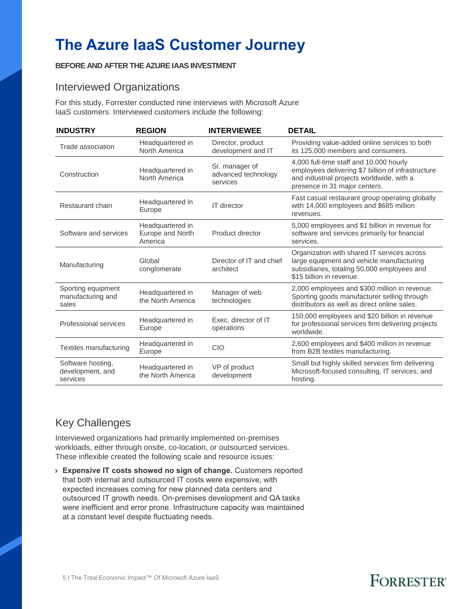# **The Azure IaaS Customer Journey**

#### **BEFORE AND AFTER THE AZURE IAAS INVESTMENT**

#### Interviewed Organizations

For this study, Forrester conducted nine interviews with Microsoft Azure IaaS customers. Interviewed customers include the following:

| <b>INDUSTRY</b>                                   | <b>REGION</b>                                   | <b>INTERVIEWEE</b>                                | <b>DETAIL</b>                                                                                                                                                               |
|---------------------------------------------------|-------------------------------------------------|---------------------------------------------------|-----------------------------------------------------------------------------------------------------------------------------------------------------------------------------|
| Trade association                                 | Headquartered in<br>North America               | Director, product<br>development and IT           | Providing value-added online services to both<br>its 125,000 members and consumers.                                                                                         |
| Construction                                      | Headquartered in<br>North America               | Sr. manager of<br>advanced technology<br>services | 4,000 full-time staff and 10,000 hourly<br>employees delivering \$7 billion of infrastructure<br>and industrial projects worldwide, with a<br>presence in 31 major centers. |
| Restaurant chain                                  | Headquartered in<br>Europe                      | IT director                                       | Fast casual restaurant group operating globally<br>with 14,000 employees and \$685 million<br>revenues.                                                                     |
| Software and services                             | Headquartered in<br>Europe and North<br>America | Product director                                  | 5,000 employees and \$1 billion in revenue for<br>software and services primarily for financial<br>services.                                                                |
| Manufacturing                                     | Global<br>conglomerate                          | Director of IT and chief<br>architect             | Organization with shared IT services across<br>large equipment and vehicle manufacturing<br>subsidiaries, totaling 50,000 employees and<br>\$15 billion in revenue.         |
| Sporting equipment<br>manufacturing and<br>sales  | Headquartered in<br>the North America           | Manager of web<br>technologies                    | 2,000 employees and \$300 million in revenue.<br>Sporting goods manufacturer selling through<br>distributors as well as direct online sales.                                |
| Professional services                             | Headquartered in<br>Europe                      | Exec. director of IT<br>operations                | 150,000 employees and \$20 billion in revenue<br>for professional services firm delivering projects<br>worldwide.                                                           |
| Textiles manufacturing                            | Headquartered in<br>Europe                      | CIO                                               | 2,600 employees and \$400 million in revenue<br>from B2B textiles manufacturing.                                                                                            |
| Software hosting,<br>development, and<br>services | Headquartered in<br>the North America           | VP of product<br>development                      | Small but highly skilled services firm delivering<br>Microsoft-focused consulting, IT services, and<br>hosting.                                                             |

## Key Challenges

Interviewed organizations had primarily implemented on-premises workloads, either through onsite, co-location, or outsourced services. These inflexible created the following scale and resource issues:

› **Expensive IT costs showed no sign of change.** Customers reported that both internal and outsourced IT costs were expensive, with expected increases coming for new planned data centers and outsourced IT growth needs. On-premises development and QA tasks were inefficient and error prone. Infrastructure capacity was maintained at a constant level despite fluctuating needs.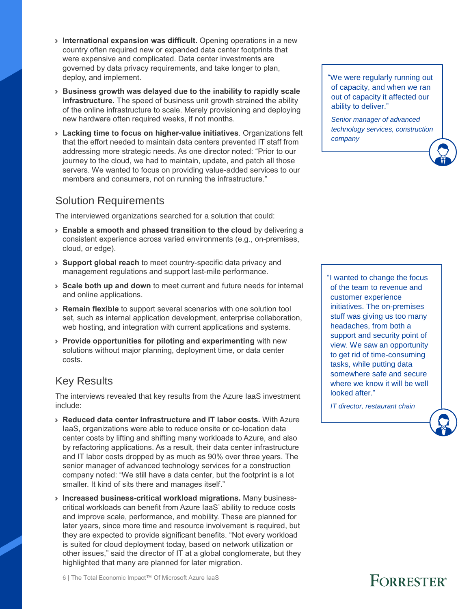- › **International expansion was difficult.** Opening operations in a new country often required new or expanded data center footprints that were expensive and complicated. Data center investments are governed by data privacy requirements, and take longer to plan, deploy, and implement.
- › **Business growth was delayed due to the inability to rapidly scale infrastructure.** The speed of business unit growth strained the ability of the online infrastructure to scale. Merely provisioning and deploying new hardware often required weeks, if not months.
- › **Lacking time to focus on higher-value initiatives**. Organizations felt that the effort needed to maintain data centers prevented IT staff from addressing more strategic needs. As one director noted: "Prior to our journey to the cloud, we had to maintain, update, and patch all those servers. We wanted to focus on providing value-added services to our members and consumers, not on running the infrastructure."

#### Solution Requirements

The interviewed organizations searched for a solution that could:

- › **Enable a smooth and phased transition to the cloud** by delivering a consistent experience across varied environments (e.g., on-premises, cloud, or edge).
- › **Support global reach** to meet country-specific data privacy and management regulations and support last-mile performance.
- › **Scale both up and down** to meet current and future needs for internal and online applications.
- › **Remain flexible** to support several scenarios with one solution tool set, such as internal application development, enterprise collaboration, web hosting, and integration with current applications and systems.
- › **Provide opportunities for piloting and experimenting** with new solutions without major planning, deployment time, or data center costs.

## Key Results

The interviews revealed that key results from the Azure IaaS investment include:

- › **Reduced data center infrastructure and IT labor costs.** With Azure IaaS, organizations were able to reduce onsite or co-location data center costs by lifting and shifting many workloads to Azure, and also by refactoring applications. As a result, their data center infrastructure and IT labor costs dropped by as much as 90% over three years. The senior manager of advanced technology services for a construction company noted: "We still have a data center, but the footprint is a lot smaller. It kind of sits there and manages itself."
- › **Increased business-critical workload migrations.** Many businesscritical workloads can benefit from Azure IaaS' ability to reduce costs and improve scale, performance, and mobility. These are planned for later years, since more time and resource involvement is required, but they are expected to provide significant benefits. "Not every workload is suited for cloud deployment today, based on network utilization or other issues," said the director of IT at a global conglomerate, but they highlighted that many are planned for later migration.

"We were regularly running out of capacity, and when we ran out of capacity it affected our ability to deliver."

*Senior manager of advanced technology services, construction company* 

"I wanted to change the focus of the team to revenue and customer experience initiatives. The on-premises stuff was giving us too many headaches, from both a support and security point of view. We saw an opportunity to get rid of time-consuming tasks, while putting data somewhere safe and secure where we know it will be well looked after."

*IT director, restaurant chain* 

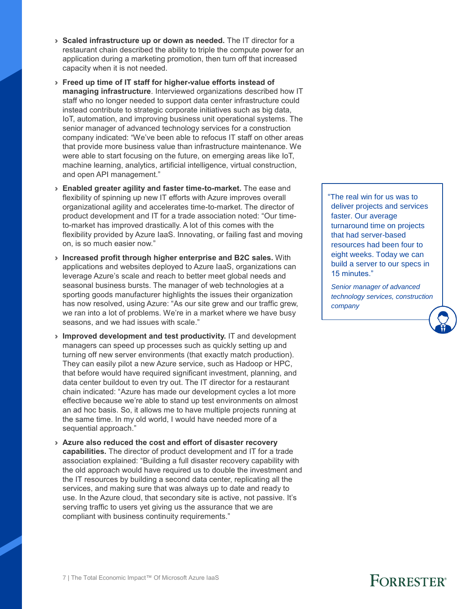- › **Scaled infrastructure up or down as needed.** The IT director for a restaurant chain described the ability to triple the compute power for an application during a marketing promotion, then turn off that increased capacity when it is not needed.
- › **Freed up time of IT staff for higher-value efforts instead of managing infrastructure**. Interviewed organizations described how IT staff who no longer needed to support data center infrastructure could instead contribute to strategic corporate initiatives such as big data, IoT, automation, and improving business unit operational systems. The senior manager of advanced technology services for a construction company indicated: "We've been able to refocus IT staff on other areas that provide more business value than infrastructure maintenance. We were able to start focusing on the future, on emerging areas like IoT, machine learning, analytics, artificial intelligence, virtual construction, and open API management."
- › **Enabled greater agility and faster time-to-market.** The ease and flexibility of spinning up new IT efforts with Azure improves overall organizational agility and accelerates time-to-market. The director of product development and IT for a trade association noted: "Our timeto-market has improved drastically. A lot of this comes with the flexibility provided by Azure IaaS. Innovating, or failing fast and moving on, is so much easier now."
- › **Increased profit through higher enterprise and B2C sales.** With applications and websites deployed to Azure IaaS, organizations can leverage Azure's scale and reach to better meet global needs and seasonal business bursts. The manager of web technologies at a sporting goods manufacturer highlights the issues their organization has now resolved, using Azure: "As our site grew and our traffic grew, we ran into a lot of problems. We're in a market where we have busy seasons, and we had issues with scale."
- › **Improved development and test productivity.** IT and development managers can speed up processes such as quickly setting up and turning off new server environments (that exactly match production). They can easily pilot a new Azure service, such as Hadoop or HPC, that before would have required significant investment, planning, and data center buildout to even try out. The IT director for a restaurant chain indicated: "Azure has made our development cycles a lot more effective because we're able to stand up test environments on almost an ad hoc basis. So, it allows me to have multiple projects running at the same time. In my old world, I would have needed more of a sequential approach."
- › **Azure also reduced the cost and effort of disaster recovery capabilities.** The director of product development and IT for a trade association explained: "Building a full disaster recovery capability with the old approach would have required us to double the investment and the IT resources by building a second data center, replicating all the services, and making sure that was always up to date and ready to use. In the Azure cloud, that secondary site is active, not passive. It's serving traffic to users yet giving us the assurance that we are compliant with business continuity requirements."

"The real win for us was to deliver projects and services faster. Our average turnaround time on projects that had server-based resources had been four to eight weeks. Today we can build a server to our specs in 15 minutes."

*Senior manager of advanced technology services, construction company*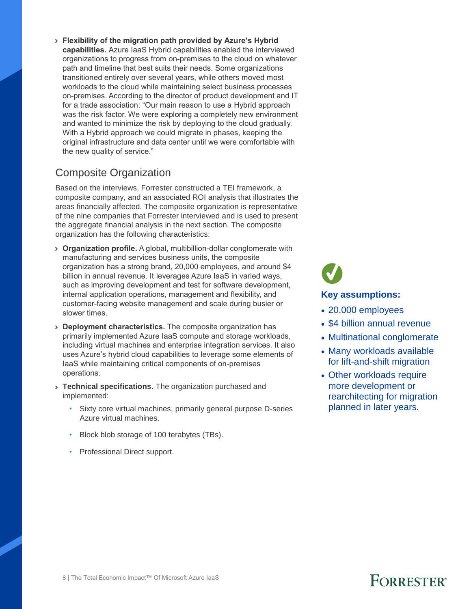› **Flexibility of the migration path provided by Azure's Hybrid capabilities.** Azure IaaS Hybrid capabilities enabled the interviewed organizations to progress from on-premises to the cloud on whatever path and timeline that best suits their needs. Some organizations transitioned entirely over several years, while others moved most workloads to the cloud while maintaining select business processes on-premises. According to the director of product development and IT for a trade association: "Our main reason to use a Hybrid approach was the risk factor. We were exploring a completely new environment and wanted to minimize the risk by deploying to the cloud gradually. With a Hybrid approach we could migrate in phases, keeping the original infrastructure and data center until we were comfortable with the new quality of service."

## Composite Organization

Based on the interviews, Forrester constructed a TEI framework, a composite company, and an associated ROI analysis that illustrates the areas financially affected. The composite organization is representative of the nine companies that Forrester interviewed and is used to present the aggregate financial analysis in the next section. The composite organization has the following characteristics:

- › **Organization profile.** A global, multibillion-dollar conglomerate with manufacturing and services business units, the composite organization has a strong brand, 20,000 employees, and around \$4 billion in annual revenue. It leverages Azure IaaS in varied ways, such as improving development and test for software development, internal application operations, management and flexibility, and customer-facing website management and scale during busier or slower times.
- › **Deployment characteristics.** The composite organization has primarily implemented Azure IaaS compute and storage workloads, including virtual machines and enterprise integration services. It also uses Azure's hybrid cloud capabilities to leverage some elements of IaaS while maintaining critical components of on-premises operations.
- › **Technical specifications.** The organization purchased and implemented:
	- Sixty core virtual machines, primarily general purpose D-series Azure virtual machines.
	- Block blob storage of 100 terabytes (TBs).
	- Professional Direct support.

# **Key assumptions:**

- 20,000 employees
- \$4 billion annual revenue
- Multinational conglomerate
- Many workloads available for lift-and-shift migration
- Other workloads require more development or rearchitecting for migration planned in later years.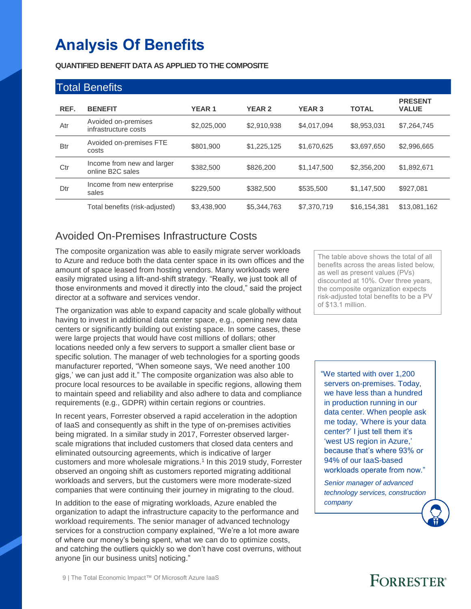# **Analysis Of Benefits**

**QUANTIFIED BENEFIT DATA AS APPLIED TO THE COMPOSITE**

|            | <b>Total Benefits</b>                                       |              |               |               |              |                                |
|------------|-------------------------------------------------------------|--------------|---------------|---------------|--------------|--------------------------------|
| REF.       | <b>BENEFIT</b>                                              | <b>YEAR1</b> | <b>YEAR 2</b> | <b>YEAR 3</b> | <b>TOTAL</b> | <b>PRESENT</b><br><b>VALUE</b> |
| Atr        | Avoided on-premises<br>infrastructure costs                 | \$2,025,000  | \$2,910,938   | \$4,017,094   | \$8,953,031  | \$7,264,745                    |
| <b>Btr</b> | Avoided on-premises FTE<br>costs                            | \$801.900    | \$1,225,125   | \$1,670,625   | \$3,697,650  | \$2,996,665                    |
| Ctr        | Income from new and larger<br>online B <sub>2</sub> C sales | \$382,500    | \$826,200     | \$1,147,500   | \$2,356,200  | \$1,892,671                    |
| Dtr        | Income from new enterprise<br>sales                         | \$229,500    | \$382,500     | \$535,500     | \$1,147,500  | \$927.081                      |
|            | Total benefits (risk-adjusted)                              | \$3,438,900  | \$5,344,763   | \$7,370,719   | \$16,154,381 | \$13,081,162                   |

## Avoided On-Premises Infrastructure Costs

The composite organization was able to easily migrate server workloads to Azure and reduce both the data center space in its own offices and the amount of space leased from hosting vendors. Many workloads were easily migrated using a lift-and-shift strategy. "Really, we just took all of those environments and moved it directly into the cloud," said the project director at a software and services vendor.

The organization was able to expand capacity and scale globally without having to invest in additional data center space, e.g., opening new data centers or significantly building out existing space. In some cases, these were large projects that would have cost millions of dollars; other locations needed only a few servers to support a smaller client base or specific solution. The manager of web technologies for a sporting goods manufacturer reported, "When someone says, 'We need another 100 gigs,' we can just add it." The composite organization was also able to procure local resources to be available in specific regions, allowing them to maintain speed and reliability and also adhere to data and compliance requirements (e.g., GDPR) within certain regions or countries.

In recent years, Forrester observed a rapid acceleration in the adoption of IaaS and consequently as shift in the type of on-premises activities being migrated. In a similar study in 2017, Forrester observed largerscale migrations that included customers that closed data centers and eliminated outsourcing agreements, which is indicative of larger customers and more wholesale migrations.<sup>1</sup> In this 2019 study, Forrester observed an ongoing shift as customers reported migrating additional workloads and servers, but the customers were more moderate-sized companies that were continuing their journey in migrating to the cloud.

In addition to the ease of migrating workloads, Azure enabled the organization to adapt the infrastructure capacity to the performance and workload requirements. The senior manager of advanced technology services for a construction company explained, "We're a lot more aware of where our money's being spent, what we can do to optimize costs, and catching the outliers quickly so we don't have cost overruns, without anyone [in our business units] noticing."

The table above shows the total of all benefits across the areas listed below, as well as present values (PVs) discounted at 10%. Over three years, the composite organization expects risk-adjusted total benefits to be a PV of \$13.1 million.

"We started with over 1,200 servers on-premises. Today, we have less than a hundred in production running in our data center. When people ask me today, 'Where is your data center?' I just tell them it's 'west US region in Azure,' because that's where 93% or 94% of our IaaS-based workloads operate from now."

*Senior manager of advanced technology services, construction company*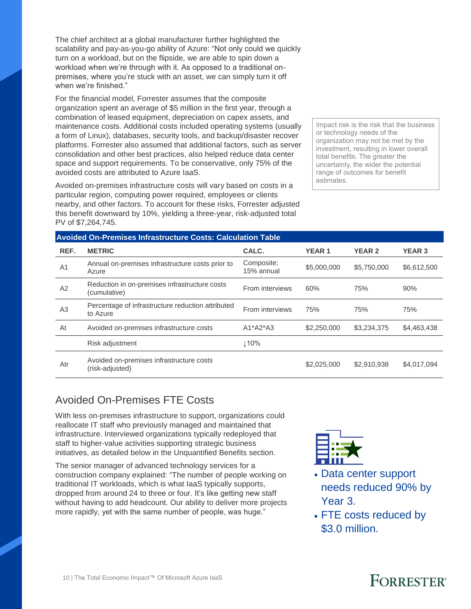The chief architect at a global manufacturer further highlighted the scalability and pay-as-you-go ability of Azure: "Not only could we quickly turn on a workload, but on the flipside, we are able to spin down a workload when we're through with it. As opposed to a traditional onpremises, where you're stuck with an asset, we can simply turn it off when we're finished."

For the financial model, Forrester assumes that the composite organization spent an average of \$5 million in the first year, through a combination of leased equipment, depreciation on capex assets, and maintenance costs. Additional costs included operating systems (usually a form of Linux), databases, security tools, and backup/disaster recover platforms. Forrester also assumed that additional factors, such as server consolidation and other best practices, also helped reduce data center space and support requirements. To be conservative, only 75% of the avoided costs are attributed to Azure IaaS.

Avoided on-premises infrastructure costs will vary based on costs in a particular region, computing power required, employees or clients nearby, and other factors. To account for these risks, Forrester adjusted this benefit downward by 10%, yielding a three-year, risk-adjusted total PV of \$7,264,745.

Impact risk is the risk that the business or technology needs of the organization may not be met by the investment, resulting in lower overall total benefits. The greater the uncertainty, the wider the potential range of outcomes for benefit estimates.

|                | <b>Avoided On-Premises Infrastructure Costs: Calculation Table</b> |                          |              |               |               |  |  |  |
|----------------|--------------------------------------------------------------------|--------------------------|--------------|---------------|---------------|--|--|--|
| REF.           | <b>METRIC</b>                                                      | CALC.                    | <b>YEAR1</b> | <b>YEAR 2</b> | <b>YEAR 3</b> |  |  |  |
| A <sub>1</sub> | Annual on-premises infrastructure costs prior to<br>Azure          | Composite;<br>15% annual | \$5,000,000  | \$5,750,000   | \$6,612,500   |  |  |  |
| A2             | Reduction in on-premises infrastructure costs<br>(cumulative)      | From interviews          | 60%          | 75%           | 90%           |  |  |  |
| A <sub>3</sub> | Percentage of infrastructure reduction attributed<br>to Azure      | From interviews          | 75%          | 75%           | 75%           |  |  |  |
| At             | Avoided on-premises infrastructure costs                           | $A1^*A2^*A3$             | \$2,250,000  | \$3,234,375   | \$4,463,438   |  |  |  |
|                | Risk adjustment                                                    | 110%                     |              |               |               |  |  |  |
| Atr            | Avoided on-premises infrastructure costs<br>(risk-adjusted)        |                          | \$2,025,000  | \$2,910,938   | \$4,017,094   |  |  |  |

## Avoided On-Premises FTE Costs

With less on-premises infrastructure to support, organizations could reallocate IT staff who previously managed and maintained that infrastructure. Interviewed organizations typically redeployed that staff to higher-value activities supporting strategic business initiatives, as detailed below in the Unquantified Benefits section.

The senior manager of advanced technology services for a construction company explained: "The number of people working on traditional IT workloads, which is what IaaS typically supports, dropped from around 24 to three or four. It's like getting new staff without having to add headcount. Our ability to deliver more projects more rapidly, yet with the same number of people, was huge."



- Data center support needs reduced 90% by Year 3.
- FTE costs reduced by \$3.0 million.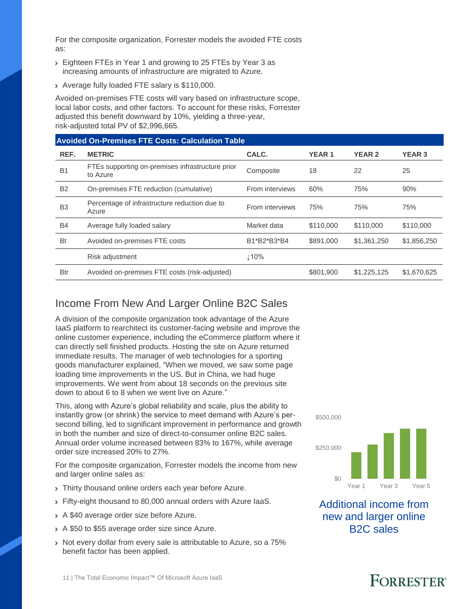For the composite organization, Forrester models the avoided FTE costs as:

- › Eighteen FTEs in Year 1 and growing to 25 FTEs by Year 3 as increasing amounts of infrastructure are migrated to Azure.
- › Average fully loaded FTE salary is \$110,000.

Avoided on-premises FTE costs will vary based on infrastructure scope, local labor costs, and other factors. To account for these risks, Forrester adjusted this benefit downward by 10%, yielding a three-year, risk-adjusted total PV of \$2,996,665.

## **Avoided On-Premises FTE Costs: Calculation Table REF. METRIC CALC. YEAR 1 YEAR 2 YEAR 3**

| <b>B1</b>      | FTEs supporting on-premises infrastructure prior<br>to Azure | Composite       | 18        | 22          | 25          |
|----------------|--------------------------------------------------------------|-----------------|-----------|-------------|-------------|
| <b>B2</b>      | On-premises FTE reduction (cumulative)                       | From interviews | 60%       | 75%         | 90%         |
| B <sub>3</sub> | Percentage of infrastructure reduction due to<br>Azure       | From interviews | 75%       | 75%         | 75%         |
| <b>B4</b>      | Average fully loaded salary                                  | Market data     | \$110,000 | \$110,000   | \$110,000   |
| <b>Bt</b>      | Avoided on-premises FTE costs                                | B1*B2*B3*B4     | \$891,000 | \$1,361,250 | \$1,856,250 |
|                | Risk adjustment                                              | ⊥10%            |           |             |             |
| Btr            | Avoided on-premises FTE costs (risk-adjusted)                |                 | \$801.900 | \$1,225,125 | \$1,670,625 |

#### Income From New And Larger Online B2C Sales

A division of the composite organization took advantage of the Azure IaaS platform to rearchitect its customer-facing website and improve the online customer experience, including the eCommerce platform where it can directly sell finished products. Hosting the site on Azure returned immediate results. The manager of web technologies for a sporting goods manufacturer explained, "When we moved, we saw some page loading time improvements in the US. But in China, we had huge improvements. We went from about 18 seconds on the previous site down to about 6 to 8 when we went live on Azure."

This, along with Azure's global reliability and scale, plus the ability to instantly grow (or shrink) the service to meet demand with Azure's persecond billing, led to significant improvement in performance and growth in both the number and size of direct-to-consumer online B2C sales. Annual order volume increased between 83% to 167%, while average order size increased 20% to 27%.

For the composite organization, Forrester models the income from new and larger online sales as:

- > Thirty thousand online orders each year before Azure.
- › Fifty-eight thousand to 80,000 annual orders with Azure IaaS.
- › A \$40 average order size before Azure.
- › A \$50 to \$55 average order size since Azure.
- › Not every dollar from every sale is attributable to Azure, so a 75% benefit factor has been applied.

\$500,000



Additional income from new and larger online B2C sales

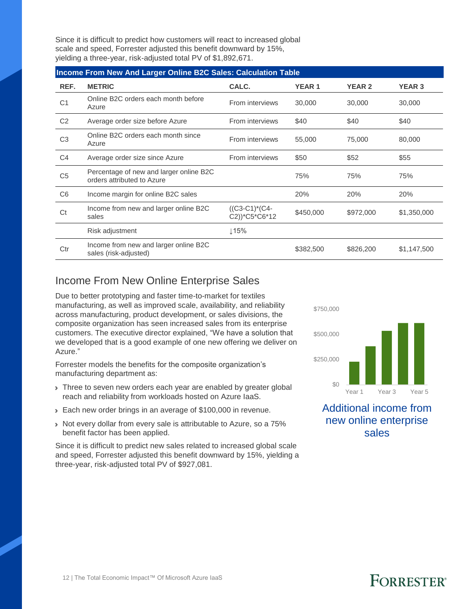Since it is difficult to predict how customers will react to increased global scale and speed, Forrester adjusted this benefit downward by 15%, yielding a three-year, risk-adjusted total PV of \$1,892,671.

|                | Income From New And Larger Online B2C Sales: Calculation Table        |                                  |              |               |               |  |  |  |  |
|----------------|-----------------------------------------------------------------------|----------------------------------|--------------|---------------|---------------|--|--|--|--|
| REF.           | <b>METRIC</b>                                                         | CALC.                            | <b>YEAR1</b> | <b>YEAR 2</b> | <b>YEAR 3</b> |  |  |  |  |
| C <sub>1</sub> | Online B2C orders each month before<br>Azure                          | From interviews                  | 30,000       | 30,000        | 30,000        |  |  |  |  |
| C <sub>2</sub> | Average order size before Azure                                       | From interviews                  | \$40         | \$40          | \$40          |  |  |  |  |
| C <sub>3</sub> | Online B2C orders each month since<br>Azure                           | From interviews                  | 55,000       | 75,000        | 80,000        |  |  |  |  |
| C <sub>4</sub> | Average order size since Azure                                        | From interviews                  | \$50         | \$52          | \$55          |  |  |  |  |
| C <sub>5</sub> | Percentage of new and larger online B2C<br>orders attributed to Azure |                                  | 75%          | 75%           | 75%           |  |  |  |  |
| C <sub>6</sub> | Income margin for online B2C sales                                    |                                  | 20%          | 20%           | 20%           |  |  |  |  |
| Ct             | Income from new and larger online B2C<br>sales                        | $((C3-C1)*(C4-$<br>C2))*C5*C6*12 | \$450,000    | \$972,000     | \$1,350,000   |  |  |  |  |
|                | Risk adjustment                                                       | $\downarrow$ 15%                 |              |               |               |  |  |  |  |
| Ctr            | Income from new and larger online B2C<br>sales (risk-adjusted)        |                                  | \$382,500    | \$826,200     | \$1,147,500   |  |  |  |  |

#### Income From New Online Enterprise Sales

Due to better prototyping and faster time-to-market for textiles manufacturing, as well as improved scale, availability, and reliability across manufacturing, product development, or sales divisions, the composite organization has seen increased sales from its enterprise customers. The executive director explained, "We have a solution that we developed that is a good example of one new offering we deliver on Azure."

Forrester models the benefits for the composite organization's manufacturing department as:

- > Three to seven new orders each year are enabled by greater global reach and reliability from workloads hosted on Azure IaaS.
- **Each new order brings in an average of \$100,000 in revenue.**
- › Not every dollar from every sale is attributable to Azure, so a 75% benefit factor has been applied.

Since it is difficult to predict new sales related to increased global scale and speed, Forrester adjusted this benefit downward by 15%, yielding a three-year, risk-adjusted total PV of \$927,081.



Additional income from new online enterprise sales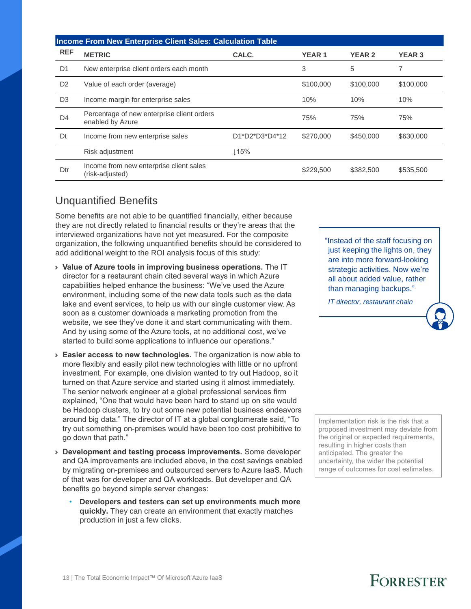|                | <b>Income From New Enterprise Client Sales: Calculation Table</b> |                |              |               |               |  |  |  |  |
|----------------|-------------------------------------------------------------------|----------------|--------------|---------------|---------------|--|--|--|--|
| <b>REF</b>     | <b>METRIC</b>                                                     | CALC.          | <b>YEAR1</b> | <b>YEAR 2</b> | <b>YEAR 3</b> |  |  |  |  |
| D <sub>1</sub> | New enterprise client orders each month                           |                | 3            | 5             | 7             |  |  |  |  |
| D <sub>2</sub> | Value of each order (average)                                     |                | \$100,000    | \$100,000     | \$100,000     |  |  |  |  |
| D <sub>3</sub> | Income margin for enterprise sales                                |                | 10%          | 10%           | 10%           |  |  |  |  |
| D <sub>4</sub> | Percentage of new enterprise client orders<br>enabled by Azure    |                | 75%          | 75%           | 75%           |  |  |  |  |
| Dt             | Income from new enterprise sales                                  | D1*D2*D3*D4*12 | \$270,000    | \$450,000     | \$630,000     |  |  |  |  |
|                | Risk adjustment                                                   | $\perp$ 15%    |              |               |               |  |  |  |  |
| Dtr            | Income from new enterprise client sales<br>(risk-adjusted)        |                | \$229,500    | \$382,500     | \$535,500     |  |  |  |  |

#### Unquantified Benefits

Some benefits are not able to be quantified financially, either because they are not directly related to financial results or they're areas that the interviewed organizations have not yet measured. For the composite organization, the following unquantified benefits should be considered to add additional weight to the ROI analysis focus of this study:

- › **Value of Azure tools in improving business operations.** The IT director for a restaurant chain cited several ways in which Azure capabilities helped enhance the business: "We've used the Azure environment, including some of the new data tools such as the data lake and event services, to help us with our single customer view. As soon as a customer downloads a marketing promotion from the website, we see they've done it and start communicating with them. And by using some of the Azure tools, at no additional cost, we've started to build some applications to influence our operations."
- › **Easier access to new technologies.** The organization is now able to more flexibly and easily pilot new technologies with little or no upfront investment. For example, one division wanted to try out Hadoop, so it turned on that Azure service and started using it almost immediately. The senior network engineer at a global professional services firm explained, "One that would have been hard to stand up on site would be Hadoop clusters, to try out some new potential business endeavors around big data." The director of IT at a global conglomerate said, "To try out something on-premises would have been too cost prohibitive to go down that path."
- › **Development and testing process improvements.** Some developer and QA improvements are included above, in the cost savings enabled by migrating on-premises and outsourced servers to Azure IaaS. Much of that was for developer and QA workloads. But developer and QA benefits go beyond simple server changes:
	- **Developers and testers can set up environments much more quickly.** They can create an environment that exactly matches production in just a few clicks.

"Instead of the staff focusing on just keeping the lights on, they are into more forward-looking strategic activities. Now we're all about added value, rather than managing backups."

*IT director, restaurant chain*

Implementation risk is the risk that a proposed investment may deviate from the original or expected requirements, resulting in higher costs than anticipated. The greater the uncertainty, the wider the potential range of outcomes for cost estimates.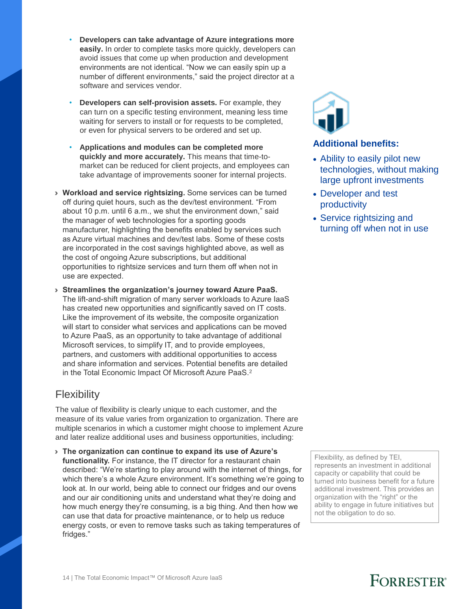- **Developers can take advantage of Azure integrations more easily.** In order to complete tasks more quickly, developers can avoid issues that come up when production and development environments are not identical. "Now we can easily spin up a number of different environments," said the project director at a software and services vendor.
- **Developers can self-provision assets.** For example, they can turn on a specific testing environment, meaning less time waiting for servers to install or for requests to be completed, or even for physical servers to be ordered and set up.
- **Applications and modules can be completed more quickly and more accurately.** This means that time-tomarket can be reduced for client projects, and employees can take advantage of improvements sooner for internal projects.
- › **Workload and service rightsizing.** Some services can be turned off during quiet hours, such as the dev/test environment. "From about 10 p.m. until 6 a.m., we shut the environment down," said the manager of web technologies for a sporting goods manufacturer, highlighting the benefits enabled by services such as Azure virtual machines and dev/test labs. Some of these costs are incorporated in the cost savings highlighted above, as well as the cost of ongoing Azure subscriptions, but additional opportunities to rightsize services and turn them off when not in use are expected.
- › **Streamlines the organization's journey toward Azure PaaS.**  The lift-and-shift migration of many server workloads to Azure IaaS has created new opportunities and significantly saved on IT costs. Like the improvement of its website, the composite organization will start to consider what services and applications can be moved to Azure PaaS, as an opportunity to take advantage of additional Microsoft services, to simplify IT, and to provide employees, partners, and customers with additional opportunities to access and share information and services. Potential benefits are detailed in the Total Economic Impact Of Microsoft Azure PaaS.<sup>2</sup>

## **Flexibility**

The value of flexibility is clearly unique to each customer, and the measure of its value varies from organization to organization. There are multiple scenarios in which a customer might choose to implement Azure and later realize additional uses and business opportunities, including:

› **The organization can continue to expand its use of Azure's functionality.** For instance, the IT director for a restaurant chain described: "We're starting to play around with the internet of things, for which there's a whole Azure environment. It's something we're going to look at. In our world, being able to connect our fridges and our ovens and our air conditioning units and understand what they're doing and how much energy they're consuming, is a big thing. And then how we can use that data for proactive maintenance, or to help us reduce energy costs, or even to remove tasks such as taking temperatures of fridges."



#### **Additional benefits:**

- Ability to easily pilot new technologies, without making large upfront investments
- Developer and test productivity
- Service rightsizing and turning off when not in use

Flexibility, as defined by TEI, represents an investment in additional capacity or capability that could be turned into business benefit for a future additional investment. This provides an organization with the "right" or the ability to engage in future initiatives but not the obligation to do so.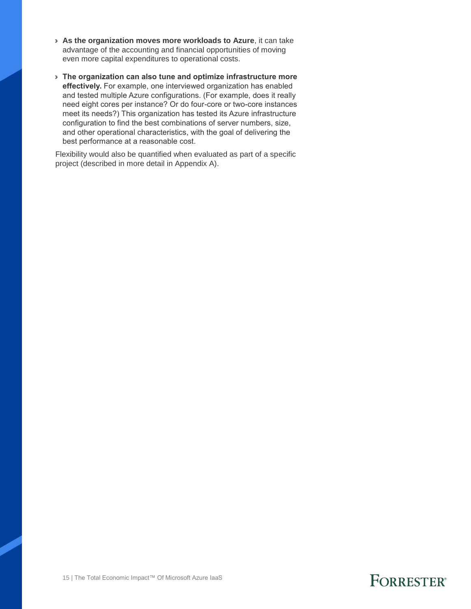- › **As the organization moves more workloads to Azure**, it can take advantage of the accounting and financial opportunities of moving even more capital expenditures to operational costs.
- › **The organization can also tune and optimize infrastructure more effectively.** For example, one interviewed organization has enabled and tested multiple Azure configurations. (For example, does it really need eight cores per instance? Or do four-core or two-core instances meet its needs?) This organization has tested its Azure infrastructure configuration to find the best combinations of server numbers, size, and other operational characteristics, with the goal of delivering the best performance at a reasonable cost.

Flexibility would also be quantified when evaluated as part of a specific project (described in more detail in Appendix A).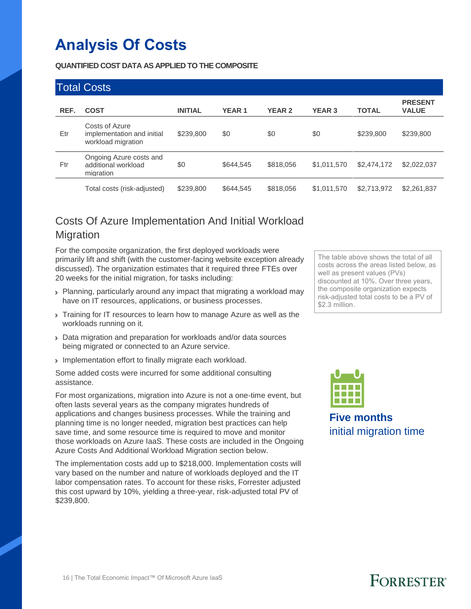# **Analysis Of Costs**

**QUANTIFIED COST DATA AS APPLIED TO THE COMPOSITE**

|      | <b>Total Costs</b>                                                 |                |              |               |               |              |                                |
|------|--------------------------------------------------------------------|----------------|--------------|---------------|---------------|--------------|--------------------------------|
| REF. | <b>COST</b>                                                        | <b>INITIAL</b> | <b>YEAR1</b> | <b>YEAR 2</b> | <b>YEAR 3</b> | <b>TOTAL</b> | <b>PRESENT</b><br><b>VALUE</b> |
| Etr  | Costs of Azure<br>implementation and initial<br>workload migration | \$239,800      | \$0          | \$0           | \$0           | \$239,800    | \$239,800                      |
| Ftr  | Ongoing Azure costs and<br>additional workload<br>migration        | \$0            | \$644,545    | \$818,056     | \$1,011,570   | \$2,474,172  | \$2,022,037                    |
|      | Total costs (risk-adjusted)                                        | \$239,800      | \$644,545    | \$818,056     | \$1,011,570   | \$2,713,972  | \$2,261,837                    |

## Costs Of Azure Implementation And Initial Workload Migration

For the composite organization, the first deployed workloads were primarily lift and shift (with the customer-facing website exception already discussed). The organization estimates that it required three FTEs over 20 weeks for the initial migration, for tasks including:

- › Planning, particularly around any impact that migrating a workload may have on IT resources, applications, or business processes.
- If Training for IT resources to learn how to manage Azure as well as the workloads running on it.
- › Data migration and preparation for workloads and/or data sources being migrated or connected to an Azure service.
- › Implementation effort to finally migrate each workload.

Some added costs were incurred for some additional consulting assistance.

For most organizations, migration into Azure is not a one-time event, but often lasts several years as the company migrates hundreds of applications and changes business processes. While the training and planning time is no longer needed, migration best practices can help save time, and some resource time is required to move and monitor those workloads on Azure IaaS. These costs are included in the Ongoing Azure Costs And Additional Workload Migration section below.

The implementation costs add up to \$218,000. Implementation costs will vary based on the number and nature of workloads deployed and the IT labor compensation rates. To account for these risks, Forrester adjusted this cost upward by 10%, yielding a three-year, risk-adjusted total PV of \$239,800.

The table above shows the total of all costs across the areas listed below, as well as present values (PVs) discounted at 10%. Over three years, the composite organization expects risk-adjusted total costs to be a PV of \$2.3 million.



**Five months** initial migration time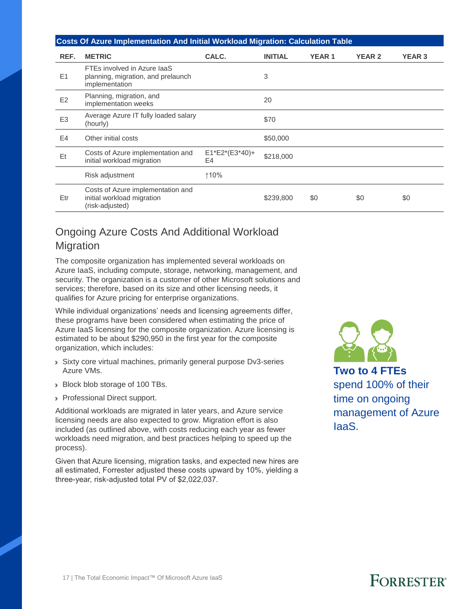#### **Costs Of Azure Implementation And Initial Workload Migration: Calculation Table**

| REF.           | <b>METRIC</b>                                                                       | CALC.                  | <b>INITIAL</b> | <b>YEAR1</b> | <b>YEAR 2</b> | <b>YEAR 3</b> |
|----------------|-------------------------------------------------------------------------------------|------------------------|----------------|--------------|---------------|---------------|
| E1             | FTEs involved in Azure laaS<br>planning, migration, and prelaunch<br>implementation |                        | 3              |              |               |               |
| E2             | Planning, migration, and<br>implementation weeks                                    |                        | 20             |              |               |               |
| E <sub>3</sub> | Average Azure IT fully loaded salary<br>(hourly)                                    |                        | \$70           |              |               |               |
| E4             | Other initial costs                                                                 |                        | \$50,000       |              |               |               |
| Et             | Costs of Azure implementation and<br>initial workload migration                     | $E1*E2*(E3*40)+$<br>E4 | \$218,000      |              |               |               |
|                | Risk adjustment                                                                     | ↑10%                   |                |              |               |               |
| Etr            | Costs of Azure implementation and<br>initial workload migration<br>(risk-adjusted)  |                        | \$239,800      | \$0          | \$0           | \$0           |

## Ongoing Azure Costs And Additional Workload Migration

The composite organization has implemented several workloads on Azure IaaS, including compute, storage, networking, management, and security. The organization is a customer of other Microsoft solutions and services; therefore, based on its size and other licensing needs, it qualifies for Azure pricing for enterprise organizations.

While individual organizations' needs and licensing agreements differ, these programs have been considered when estimating the price of Azure IaaS licensing for the composite organization. Azure licensing is estimated to be about \$290,950 in the first year for the composite organization, which includes:

- › Sixty core virtual machines, primarily general purpose Dv3-series Azure VMs.
- › Block blob storage of 100 TBs.
- › Professional Direct support.

Additional workloads are migrated in later years, and Azure service licensing needs are also expected to grow. Migration effort is also included (as outlined above, with costs reducing each year as fewer workloads need migration, and best practices helping to speed up the process).

Given that Azure licensing, migration tasks, and expected new hires are all estimated, Forrester adjusted these costs upward by 10%, yielding a three-year, risk-adjusted total PV of \$2,022,037.



**Two to 4 FTEs** spend 100% of their time on ongoing management of Azure IaaS.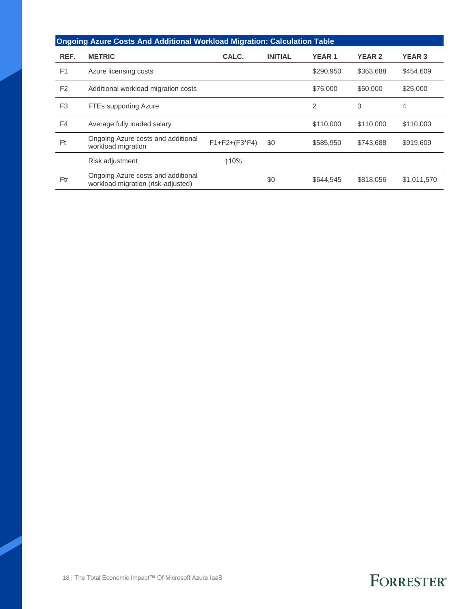|                | <b>Ongoing Azure Costs And Additional Workload Migration: Calculation Table</b> |                     |                |                |               |               |  |  |  |
|----------------|---------------------------------------------------------------------------------|---------------------|----------------|----------------|---------------|---------------|--|--|--|
| REF.           | <b>METRIC</b>                                                                   | CALC.               | <b>INITIAL</b> | <b>YEAR1</b>   | <b>YEAR 2</b> | <b>YEAR 3</b> |  |  |  |
| F <sub>1</sub> | Azure licensing costs                                                           |                     |                | \$290,950      | \$363,688     | \$454,609     |  |  |  |
| F <sub>2</sub> | Additional workload migration costs                                             |                     |                | \$75,000       | \$50,000      | \$25,000      |  |  |  |
| F <sub>3</sub> | <b>FTEs supporting Azure</b>                                                    |                     |                | $\overline{2}$ | 3             | 4             |  |  |  |
| F4             | Average fully loaded salary                                                     |                     |                | \$110,000      | \$110,000     | \$110,000     |  |  |  |
| Ft             | Ongoing Azure costs and additional<br>workload migration                        | $F1 + F2 + (F3*F4)$ | \$0            | \$585,950      | \$743,688     | \$919,609     |  |  |  |
|                | Risk adjustment                                                                 | ↑10%                |                |                |               |               |  |  |  |
| Ftr            | Ongoing Azure costs and additional<br>workload migration (risk-adjusted)        |                     | \$0            | \$644,545      | \$818,056     | \$1,011,570   |  |  |  |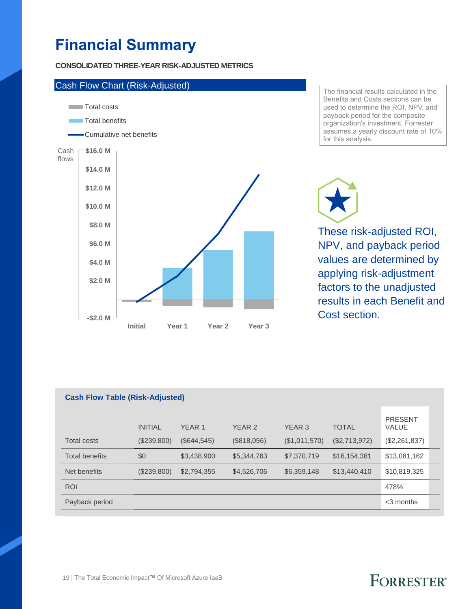# **Financial Summary**

**CONSOLIDATED THREE-YEAR RISK-ADJUSTED METRICS**



The financial results calculated in the Benefits and Costs sections can be used to determine the ROI, NPV, and payback period for the composite organization's investment. Forrester assumes a yearly discount rate of 10% for this analysis.

These risk-adjusted ROI, NPV, and payback period values are determined by applying risk-adjustment factors to the unadjusted results in each Benefit and Cost section.

| <b>Cash Flow Table (Risk-Adjusted)</b> |                |                   |               |               |               |                                |  |
|----------------------------------------|----------------|-------------------|---------------|---------------|---------------|--------------------------------|--|
|                                        | <b>INITIAL</b> | YEAR <sub>1</sub> | <b>YEAR 2</b> | YEAR 3        | <b>TOTAL</b>  | <b>PRESENT</b><br><b>VALUE</b> |  |
| <b>Total costs</b>                     | (\$239,800)    | (\$644, 545)      | (\$818,056)   | (\$1,011,570) | (\$2,713,972) | (\$2,261,837)                  |  |
| <b>Total benefits</b>                  | \$0            | \$3,438,900       | \$5,344,763   | \$7,370,719   | \$16,154,381  | \$13,081,162                   |  |
| Net benefits                           | (\$239,800)    | \$2,794,355       | \$4,526,706   | \$6,359,148   | \$13,440,410  | \$10,819,325                   |  |
| <b>ROI</b>                             |                |                   |               |               |               | 478%                           |  |
| Payback period                         |                |                   |               |               |               | $<$ 3 months                   |  |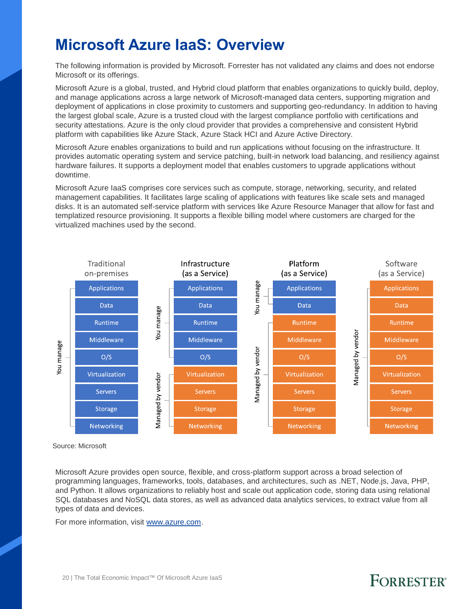## **Microsoft Azure IaaS: Overview**

The following information is provided by Microsoft. Forrester has not validated any claims and does not endorse Microsoft or its offerings.

Microsoft Azure is a global, trusted, and Hybrid cloud platform that enables organizations to quickly build, deploy, and manage applications across a large network of Microsoft-managed data centers, supporting migration and deployment of applications in close proximity to customers and supporting geo-redundancy. In addition to having the largest global scale, Azure is a trusted cloud with the largest compliance portfolio with certifications and security attestations. Azure is the only cloud provider that provides a comprehensive and consistent Hybrid platform with capabilities like Azure Stack, Azure Stack HCI and Azure Active Directory.

Microsoft Azure enables organizations to build and run applications without focusing on the infrastructure. It provides automatic operating system and service patching, built-in network load balancing, and resiliency against hardware failures. It supports a deployment model that enables customers to upgrade applications without downtime.

Microsoft Azure IaaS comprises core services such as compute, storage, networking, security, and related management capabilities. It facilitates large scaling of applications with features like scale sets and managed disks. It is an automated self-service platform with services like Azure Resource Manager that allow for fast and templatized resource provisioning. It supports a flexible billing model where customers are charged for the virtualized machines used by the second.



Source: Microsoft

Microsoft Azure provides open source, flexible, and cross-platform support across a broad selection of programming languages, frameworks, tools, databases, and architectures, such as .NET, Node.js, Java, PHP, and Python. It allows organizations to reliably host and scale out application code, storing data using relational SQL databases and NoSQL data stores, as well as advanced data analytics services, to extract value from all types of data and devices.

For more information, visit [www.azure.com.](http://www.azure.com/)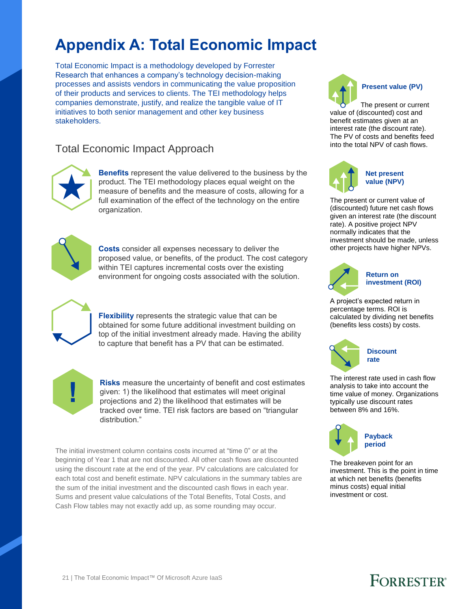# **Appendix A: Total Economic Impact**

Total Economic Impact is a methodology developed by Forrester Research that enhances a company's technology decision-making processes and assists vendors in communicating the value proposition of their products and services to clients. The TEI methodology helps companies demonstrate, justify, and realize the tangible value of IT initiatives to both senior management and other key business stakeholders.

## Total Economic Impact Approach



**Benefits** represent the value delivered to the business by the product. The TEI methodology places equal weight on the measure of benefits and the measure of costs, allowing for a full examination of the effect of the technology on the entire organization.



**Costs** consider all expenses necessary to deliver the proposed value, or benefits, of the product. The cost category within TEI captures incremental costs over the existing environment for ongoing costs associated with the solution.



**Flexibility** represents the strategic value that can be obtained for some future additional investment building on top of the initial investment already made. Having the ability to capture that benefit has a PV that can be estimated.



**Risks** measure the uncertainty of benefit and cost estimates given: 1) the likelihood that estimates will meet original projections and 2) the likelihood that estimates will be tracked over time. TEI risk factors are based on "triangular distribution."

The initial investment column contains costs incurred at "time 0" or at the beginning of Year 1 that are not discounted. All other cash flows are discounted using the discount rate at the end of the year. PV calculations are calculated for each total cost and benefit estimate. NPV calculations in the summary tables are the sum of the initial investment and the discounted cash flows in each year. Sums and present value calculations of the Total Benefits, Total Costs, and Cash Flow tables may not exactly add up, as some rounding may occur.



The present or current value of (discounted) cost and benefit estimates given at an interest rate (the discount rate). The PV of costs and benefits feed into the total NPV of cash flows.



The present or current value of (discounted) future net cash flows given an interest rate (the discount rate). A positive project NPV normally indicates that the investment should be made, unless other projects have higher NPVs.



#### **Return on investment (ROI)**

A project's expected return in percentage terms. ROI is calculated by dividing net benefits (benefits less costs) by costs.



The interest rate used in cash flow analysis to take into account the time value of money. Organizations typically use discount rates between 8% and 16%.



The breakeven point for an investment. This is the point in time at which net benefits (benefits minus costs) equal initial investment or cost.